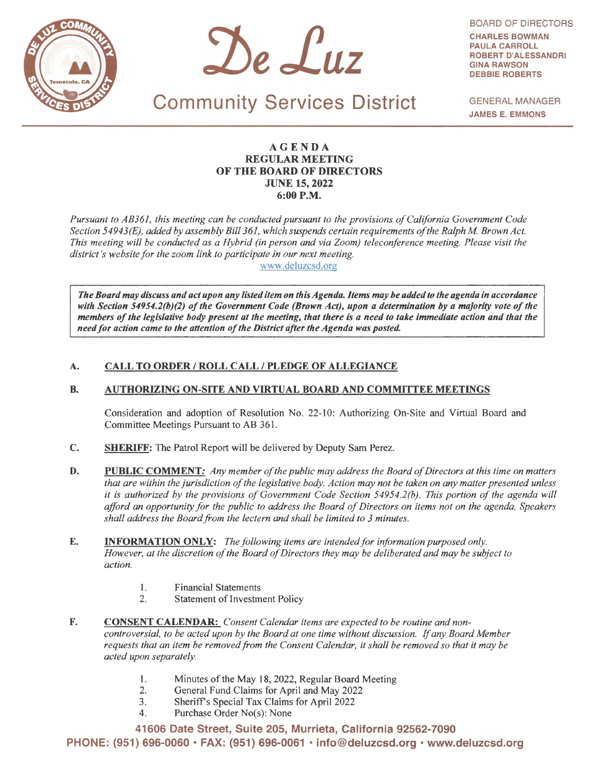



BOARD OF DIRECTORS **CHARLES BOWMAN PAULA CARROLL ROBERT D'ALESSANDRI GINA RAWSON DEBBIE ROBERTS** 

Community Services District

GENERAL MANAGER **JAMES** E. **EMMONS** 

## **AGENDA REGULAR MEETING OF THE BOARD OF DIRECTORS JUNE 15, 2022 6:00P.M.**

*Pursuant to AB361, this meeting can be conducted pursuant to the provisions of California Government Code Section 54943(E), added by assembly Bill 361, which suspends certain requirements of the Ralph M Brown Act. This meeting will be conducted as a Hybrid (in person and via Zoom) telecoriference meeting. Please visit the district's website for the zoom link to participate in our next meeting.* 

www.deluzcsd.org

*The Board may discuss and act upon any listed item on this Agenda. Items may be added to the agenda in accordance with Section 54954.2(b)(2) of the Government Code (Brown Act), upon a determination by a majority vote of the members of the legislative body present at the meeting, that there* is *a need to take immediate action and that the need for action came to the attention of the District after the Agenda was posted.* 

# **A. CALL TO ORDER/ ROLL CALL/ PLEDGE OF ALLEGIANCE**

## **B. AUTHORIZING ON-SITE AND VIRTUAL BOARD AND COMMITTEE MEETINGS**

Consideration and adoption of Resolution No. 22-10: Authorizing On-Site and Virtual Board and Committee Meetings Pursuant to AB 361 .

- C. **SHERIFF:** The Patrol Report will be delivered by Deputy Sam Perez.
- **D. PUBLIC COMMENT:** *Any member of the public may address the Board of Directors at this time on matters that are within the jurisdiction of the legislative body. Action may not be taken on any matter presented unless it is authorized by the provisions of Government Code Section 54954.2(b). This portion of the agenda will afford an opportunity for the public to address the Board of Directors on items not on the agenda. Speakers shall address the Board from the lectern and shall be limited to 3 minutes.*
- **E. INFORMATION ONLY:** *The following items are intended for information purposed only. However, at the discretion of the Board of Directors they may be deliberated and may be subject to action.* 
	- 1. Financial Statements
	- 2. Statement of Investment Policy
- **F. CONSENT CALENDAR:** *Consent Calendar items are expected to be routine and noncontroversial, to be acted upon by the Board at one time without discussion. If any Board Member requests that an item be removed from the Consent Calendar, it shall be removed so that it may be acted upon separately.* 
	- I. Minutes of the May 18, 2022, Regular Board Meeting
	- 2. General Fund Claims for April and May 2022
	- 3. Sheriff's Special Tax Claims for April 2022
	- 4. Purchase Order No(s): None

**41606 Date Street, Suite 205, Murrieta, California 92562-7090 PHONE: (951) 696-0060** • **FAX: (951) 696-0061** • **info@deluzcsd.org** • **www.deluzcsd.org**